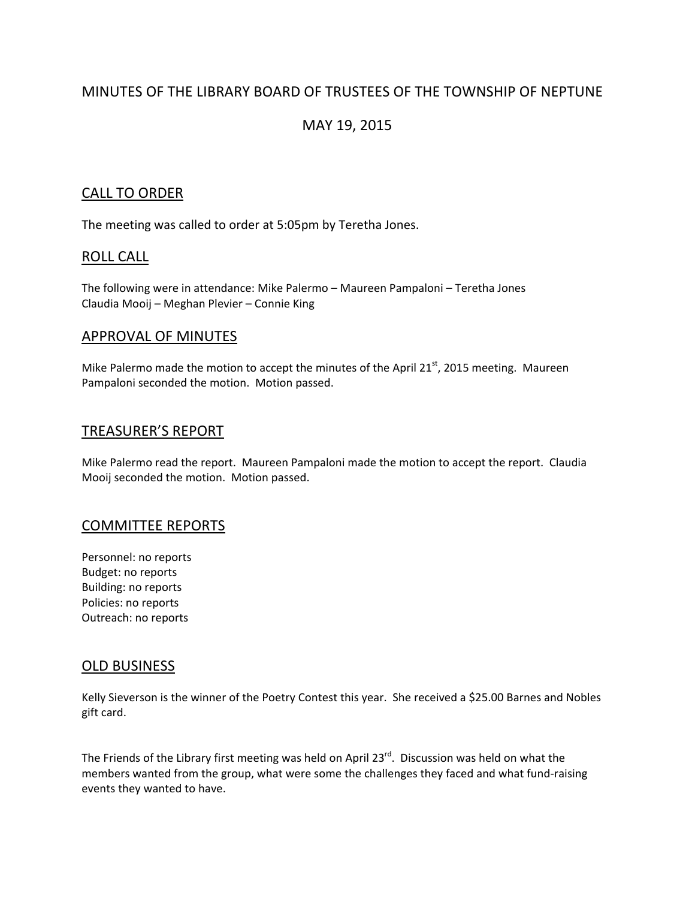# MINUTES OF THE LIBRARY BOARD OF TRUSTEES OF THE TOWNSHIP OF NEPTUNE

# MAY 19, 2015

### CALL TO ORDER

The meeting was called to order at 5:05pm by Teretha Jones.

# ROLL CALL

The following were in attendance: Mike Palermo – Maureen Pampaloni – Teretha Jones Claudia Mooij – Meghan Plevier – Connie King

### APPROVAL OF MINUTES

Mike Palermo made the motion to accept the minutes of the April 21 $^{st}$ , 2015 meeting. Maureen Pampaloni seconded the motion. Motion passed.

### TREASURER'S REPORT

Mike Palermo read the report. Maureen Pampaloni made the motion to accept the report. Claudia Mooij seconded the motion. Motion passed.

#### COMMITTEE REPORTS

Personnel: no reports Budget: no reports Building: no reports Policies: no reports Outreach: no reports

#### OLD BUSINESS

Kelly Sieverson is the winner of the Poetry Contest this year. She received a \$25.00 Barnes and Nobles gift card.

The Friends of the Library first meeting was held on April  $23^{rd}$ . Discussion was held on what the members wanted from the group, what were some the challenges they faced and what fund‐raising events they wanted to have.